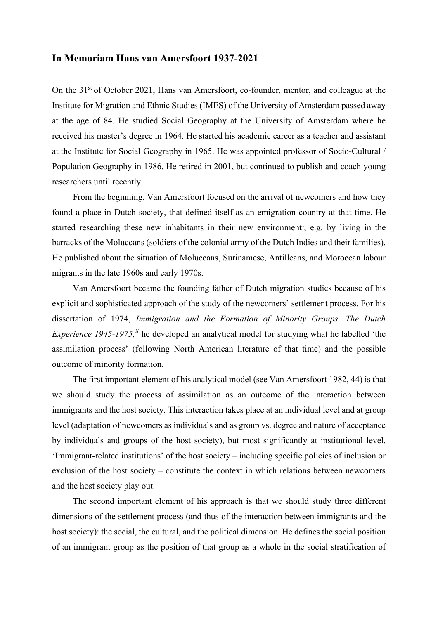## **In Memoriam Hans van Amersfoort 1937-2021**

On the 31<sup>st</sup> of October 2021, Hans van Amersfoort, co-founder, mentor, and colleague at the Institute for Migration and Ethnic Studies (IMES) of the University of Amsterdam passed away at the age of 84. He studied Social Geography at the University of Amsterdam where he received his master's degree in 1964. He started his academic career as a teacher and assistant at the Institute for Social Geography in 1965. He was appointed professor of Socio-Cultural / Population Geography in 1986. He retired in 2001, but continued to publish and coach young researchers until recently.

From the beginning, Van Amersfoort focused on the arrival of newcomers and how they found a place in Dutch society, that defined itself as an emigration country at that time. He started research[i](#page-4-0)ng these new inhabitants in their new environment<sup>i</sup>, e.g. by living in the barracks of the Moluccans (soldiers of the colonial army of the Dutch Indies and their families). He published about the situation of Moluccans, Surinamese, Antilleans, and Moroccan labour migrants in the late 1960s and early 1970s.

Van Amersfoort became the founding father of Dutch migration studies because of his explicit and sophisticated approach of the study of the newcomers' settlement process. For his dissertation of 1974, *Immigration and the Formation of Minority Groups. The Dutch Experience 1945-1975*,<sup>*[ii](#page-4-1)*</sup> he developed an analytical model for studying what he labelled 'the assimilation process' (following North American literature of that time) and the possible outcome of minority formation.

The first important element of his analytical model (see Van Amersfoort 1982, 44) is that we should study the process of assimilation as an outcome of the interaction between immigrants and the host society. This interaction takes place at an individual level and at group level (adaptation of newcomers as individuals and as group vs. degree and nature of acceptance by individuals and groups of the host society), but most significantly at institutional level. 'Immigrant-related institutions' of the host society – including specific policies of inclusion or exclusion of the host society – constitute the context in which relations between newcomers and the host society play out.

The second important element of his approach is that we should study three different dimensions of the settlement process (and thus of the interaction between immigrants and the host society): the social, the cultural, and the political dimension. He defines the social position of an immigrant group as the position of that group as a whole in the social stratification of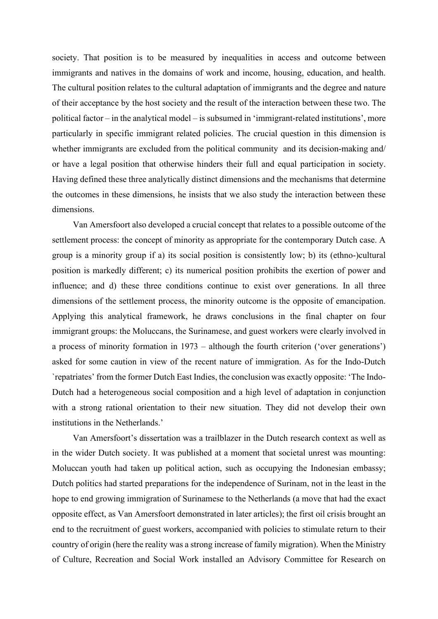society. That position is to be measured by inequalities in access and outcome between immigrants and natives in the domains of work and income, housing, education, and health. The cultural position relates to the cultural adaptation of immigrants and the degree and nature of their acceptance by the host society and the result of the interaction between these two. The political factor – in the analytical model – is subsumed in 'immigrant-related institutions', more particularly in specific immigrant related policies. The crucial question in this dimension is whether immigrants are excluded from the political community and its decision-making and/ or have a legal position that otherwise hinders their full and equal participation in society. Having defined these three analytically distinct dimensions and the mechanisms that determine the outcomes in these dimensions, he insists that we also study the interaction between these dimensions.

Van Amersfoort also developed a crucial concept that relates to a possible outcome of the settlement process: the concept of minority as appropriate for the contemporary Dutch case. A group is a minority group if a) its social position is consistently low; b) its (ethno-)cultural position is markedly different; c) its numerical position prohibits the exertion of power and influence; and d) these three conditions continue to exist over generations. In all three dimensions of the settlement process, the minority outcome is the opposite of emancipation. Applying this analytical framework, he draws conclusions in the final chapter on four immigrant groups: the Moluccans, the Surinamese, and guest workers were clearly involved in a process of minority formation in 1973 – although the fourth criterion ('over generations') asked for some caution in view of the recent nature of immigration. As for the Indo-Dutch `repatriates' from the former Dutch East Indies, the conclusion was exactly opposite: 'The Indo-Dutch had a heterogeneous social composition and a high level of adaptation in conjunction with a strong rational orientation to their new situation. They did not develop their own institutions in the Netherlands.'

Van Amersfoort's dissertation was a trailblazer in the Dutch research context as well as in the wider Dutch society. It was published at a moment that societal unrest was mounting: Moluccan youth had taken up political action, such as occupying the Indonesian embassy; Dutch politics had started preparations for the independence of Surinam, not in the least in the hope to end growing immigration of Surinamese to the Netherlands (a move that had the exact opposite effect, as Van Amersfoort demonstrated in later articles); the first oil crisis brought an end to the recruitment of guest workers, accompanied with policies to stimulate return to their country of origin (here the reality was a strong increase of family migration). When the Ministry of Culture, Recreation and Social Work installed an Advisory Committee for Research on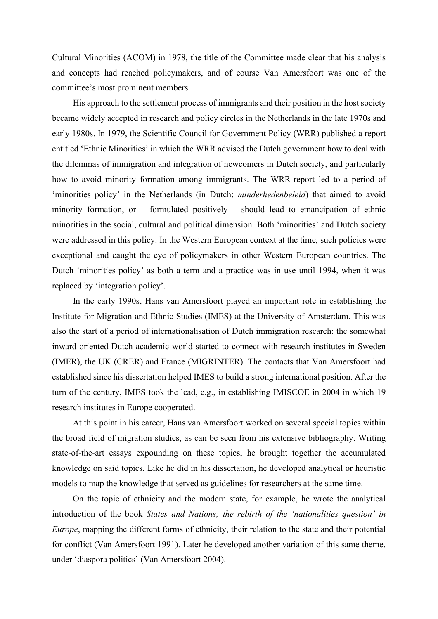Cultural Minorities (ACOM) in 1978, the title of the Committee made clear that his analysis and concepts had reached policymakers, and of course Van Amersfoort was one of the committee's most prominent members.

His approach to the settlement process of immigrants and their position in the host society became widely accepted in research and policy circles in the Netherlands in the late 1970s and early 1980s. In 1979, the Scientific Council for Government Policy (WRR) published a report entitled 'Ethnic Minorities' in which the WRR advised the Dutch government how to deal with the dilemmas of immigration and integration of newcomers in Dutch society, and particularly how to avoid minority formation among immigrants. The WRR-report led to a period of 'minorities policy' in the Netherlands (in Dutch: *minderhedenbeleid*) that aimed to avoid minority formation, or – formulated positively – should lead to emancipation of ethnic minorities in the social, cultural and political dimension. Both 'minorities' and Dutch society were addressed in this policy. In the Western European context at the time, such policies were exceptional and caught the eye of policymakers in other Western European countries. The Dutch 'minorities policy' as both a term and a practice was in use until 1994, when it was replaced by 'integration policy'.

In the early 1990s, Hans van Amersfoort played an important role in establishing the Institute for Migration and Ethnic Studies (IMES) at the University of Amsterdam. This was also the start of a period of internationalisation of Dutch immigration research: the somewhat inward-oriented Dutch academic world started to connect with research institutes in Sweden (IMER), the UK (CRER) and France (MIGRINTER). The contacts that Van Amersfoort had established since his dissertation helped IMES to build a strong international position. After the turn of the century, IMES took the lead, e.g., in establishing IMISCOE in 2004 in which 19 research institutes in Europe cooperated.

At this point in his career, Hans van Amersfoort worked on several special topics within the broad field of migration studies, as can be seen from his extensive bibliography. Writing state-of-the-art essays expounding on these topics, he brought together the accumulated knowledge on said topics. Like he did in his dissertation, he developed analytical or heuristic models to map the knowledge that served as guidelines for researchers at the same time.

On the topic of ethnicity and the modern state, for example, he wrote the analytical introduction of the book *States and Nations; the rebirth of the 'nationalities question' in Europe*, mapping the different forms of ethnicity, their relation to the state and their potential for conflict (Van Amersfoort 1991). Later he developed another variation of this same theme, under 'diaspora politics' (Van Amersfoort 2004).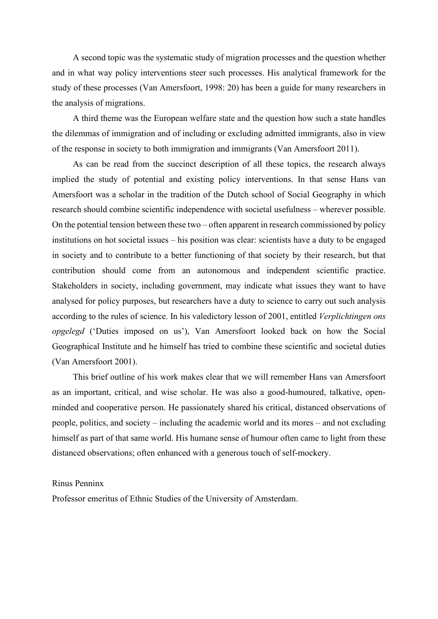A second topic was the systematic study of migration processes and the question whether and in what way policy interventions steer such processes. His analytical framework for the study of these processes (Van Amersfoort, 1998: 20) has been a guide for many researchers in the analysis of migrations.

A third theme was the European welfare state and the question how such a state handles the dilemmas of immigration and of including or excluding admitted immigrants, also in view of the response in society to both immigration and immigrants (Van Amersfoort 2011).

As can be read from the succinct description of all these topics, the research always implied the study of potential and existing policy interventions. In that sense Hans van Amersfoort was a scholar in the tradition of the Dutch school of Social Geography in which research should combine scientific independence with societal usefulness – wherever possible. On the potential tension between these two – often apparent in research commissioned by policy institutions on hot societal issues – his position was clear: scientists have a duty to be engaged in society and to contribute to a better functioning of that society by their research, but that contribution should come from an autonomous and independent scientific practice. Stakeholders in society, including government, may indicate what issues they want to have analysed for policy purposes, but researchers have a duty to science to carry out such analysis according to the rules of science. In his valedictory lesson of 2001, entitled *Verplichtingen ons opgelegd* ('Duties imposed on us'), Van Amersfoort looked back on how the Social Geographical Institute and he himself has tried to combine these scientific and societal duties (Van Amersfoort 2001).

This brief outline of his work makes clear that we will remember Hans van Amersfoort as an important, critical, and wise scholar. He was also a good-humoured, talkative, openminded and cooperative person. He passionately shared his critical, distanced observations of people, politics, and society – including the academic world and its mores – and not excluding himself as part of that same world. His humane sense of humour often came to light from these distanced observations; often enhanced with a generous touch of self-mockery.

## Rinus Penninx

Professor emeritus of Ethnic Studies of the University of Amsterdam.